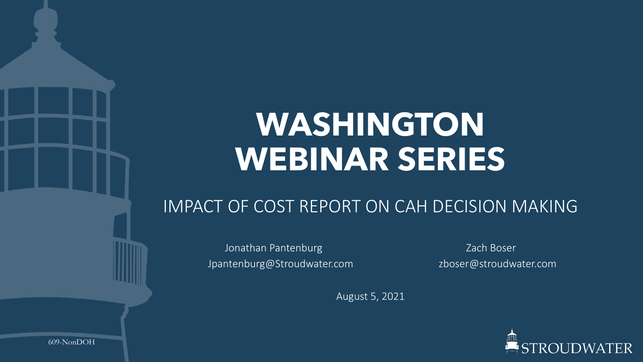# **WASHINGTON WEBINAR SERIES**

### IMPACT OF COST REPORT ON CAH DECISION MAKING

Jonathan Pantenburg National American Cach Boser Jpantenburg@Stroudwater.com zboser@stroudwater.com

August 5, 2021



609-NonDOH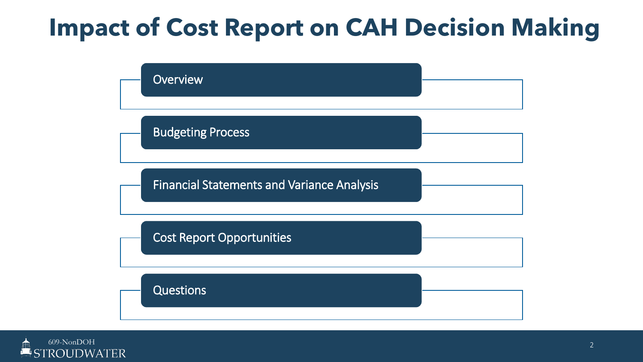# **Impact of Cost Report on CAH Decision Making**



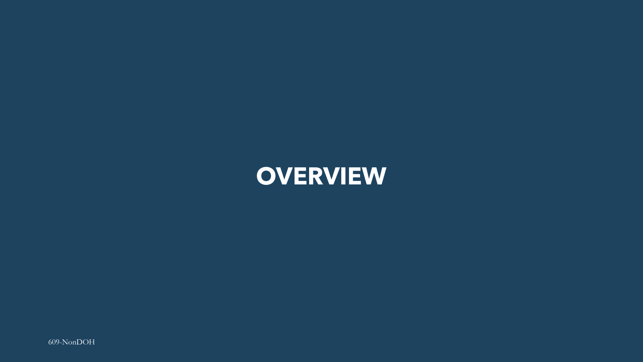### **OVERVIEW**

609-NonDOH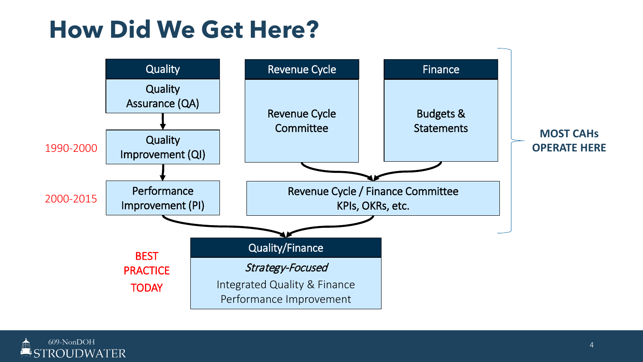## **How Did We Get Here?**



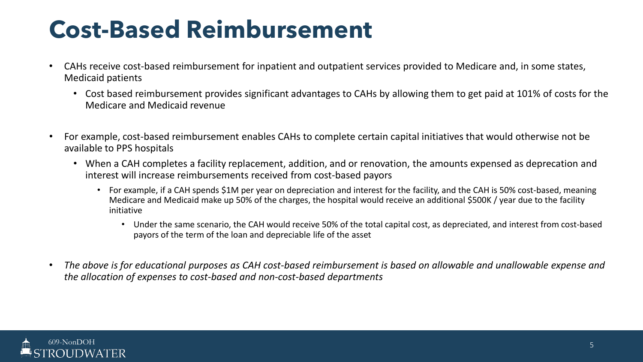# **Cost-Based Reimbursement**

- CAHs receive cost-based reimbursement for inpatient and outpatient services provided to Medicare and, in some states, Medicaid patients
	- Cost based reimbursement provides significant advantages to CAHs by allowing them to get paid at 101% of costs for the Medicare and Medicaid revenue
- For example, cost-based reimbursement enables CAHs to complete certain capital initiatives that would otherwise not be available to PPS hospitals
	- When a CAH completes a facility replacement, addition, and or renovation, the amounts expensed as deprecation and interest will increase reimbursements received from cost-based payors
		- For example, if a CAH spends \$1M per year on depreciation and interest for the facility, and the CAH is 50% cost-based, meaning Medicare and Medicaid make up 50% of the charges, the hospital would receive an additional \$500K / year due to the facility initiative
			- Under the same scenario, the CAH would receive 50% of the total capital cost, as depreciated, and interest from cost-based payors of the term of the loan and depreciable life of the asset
- *The above is for educational purposes as CAH cost-based reimbursement is based on allowable and unallowable expense and the allocation of expenses to cost-based and non-cost-based departments*

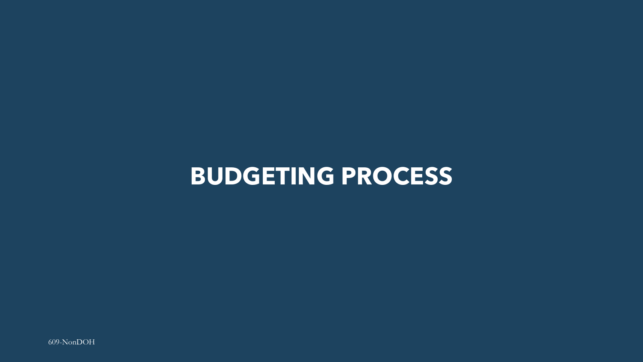### **BUDGETING PROCESS**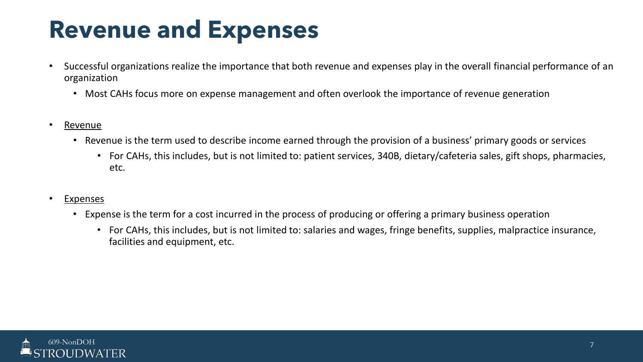# **Revenue and Expenses**

- Successful organizations realize the importance that both revenue and expenses play in the overall financial performance of an organization
	- Most CAHs focus more on expense management and often overlook the importance of revenue generation
- Revenue
	- Revenue is the term used to describe income earned through the provision of a business' primary goods or services
		- For CAHs, this includes, but is not limited to: patient services, 340B, dietary/cafeteria sales, gift shops, pharmacies, etc.
- **Expenses** 
	- Expense is the term for a cost incurred in the process of producing or offering a primary business operation
		- For CAHs, this includes, but is not limited to: salaries and wages, fringe benefits, supplies, malpractice insurance, facilities and equipment, etc.

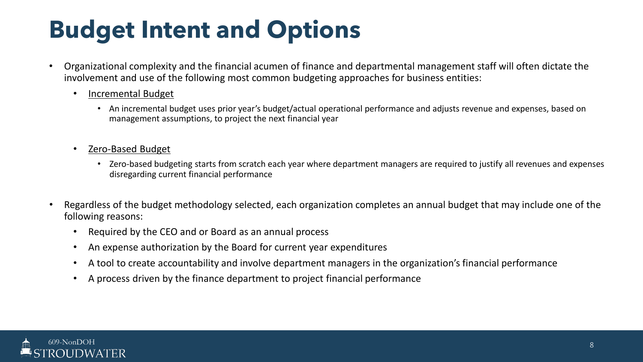# **Budget Intent and Options**

- Organizational complexity and the financial acumen of finance and departmental management staff will often dictate the involvement and use of the following most common budgeting approaches for business entities:
	- Incremental Budget
		- An incremental budget uses prior year's budget/actual operational performance and adjusts revenue and expenses, based on management assumptions, to project the next financial year
	- Zero-Based Budget
		- Zero-based budgeting starts from scratch each year where department managers are required to justify all revenues and expenses disregarding current financial performance
- Regardless of the budget methodology selected, each organization completes an annual budget that may include one of the following reasons:
	- Required by the CEO and or Board as an annual process
	- An expense authorization by the Board for current year expenditures
	- A tool to create accountability and involve department managers in the organization's financial performance
	- A process driven by the finance department to project financial performance

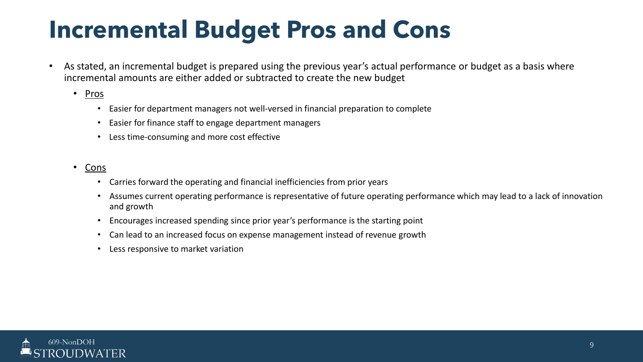# **Incremental Budget Pros and Cons**

- As stated, an incremental budget is prepared using the previous year's actual performance or budget as a basis where incremental amounts are either added or subtracted to create the new budget
	- Pros
		- Easier for department managers not well-versed in financial preparation to complete
		- Easier for finance staff to engage department managers
		- Less time-consuming and more cost effective
	- Cons
		- Carries forward the operating and financial inefficiencies from prior years
		- Assumes current operating performance is representative of future operating performance which may lead to a lack of innovation and growth
		- Encourages increased spending since prior year's performance is the starting point
		- Can lead to an increased focus on expense management instead of revenue growth
		- Less responsive to market variation

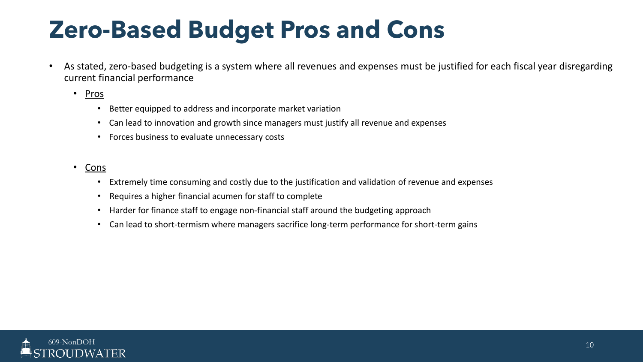# **Zero-Based Budget Pros and Cons**

- As stated, zero-based budgeting is a system where all revenues and expenses must be justified for each fiscal year disregarding current financial performance
	- Pros
		- Better equipped to address and incorporate market variation
		- Can lead to innovation and growth since managers must justify all revenue and expenses
		- Forces business to evaluate unnecessary costs
	- Cons
		- Extremely time consuming and costly due to the justification and validation of revenue and expenses
		- Requires a higher financial acumen for staff to complete
		- Harder for finance staff to engage non-financial staff around the budgeting approach
		- Can lead to short-termism where managers sacrifice long-term performance for short-term gains

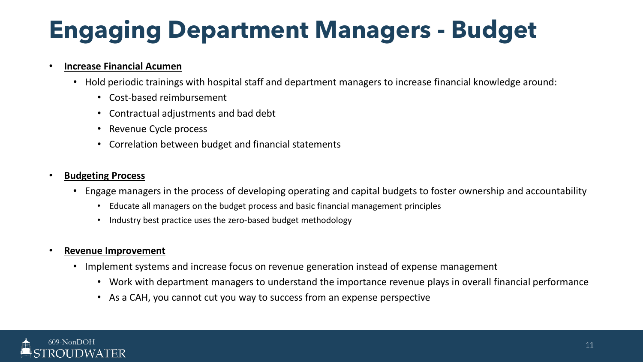# **Engaging Department Managers - Budget**

### • **Increase Financial Acumen**

- Hold periodic trainings with hospital staff and department managers to increase financial knowledge around:
	- Cost-based reimbursement
	- Contractual adjustments and bad debt
	- Revenue Cycle process
	- Correlation between budget and financial statements

### • **Budgeting Process**

- Engage managers in the process of developing operating and capital budgets to foster ownership and accountability
	- Educate all managers on the budget process and basic financial management principles
	- Industry best practice uses the zero-based budget methodology

### • **Revenue Improvement**

- Implement systems and increase focus on revenue generation instead of expense management
	- Work with department managers to understand the importance revenue plays in overall financial performance
	- As a CAH, you cannot cut you way to success from an expense perspective

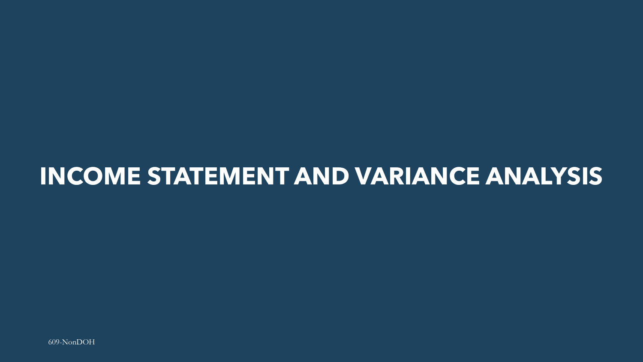### **INCOME STATEMENT AND VARIANCE ANALYSIS**

 $609-NonDOH$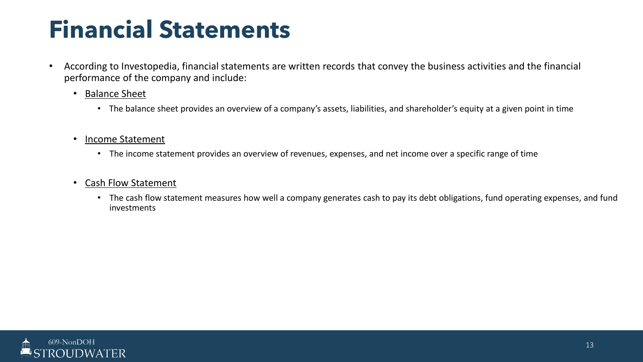## **Financial Statements**

- According to Investopedia, financial statements are written records that convey the business activities and the financial performance of the company and include:
	- Balance Sheet
		- The balance sheet provides an overview of a company's assets, liabilities, and shareholder's equity at a given point in time
	- Income Statement
		- The income statement provides an overview of revenues, expenses, and net income over a specific range of time
	- Cash Flow Statement
		- The cash flow statement measures how well a company generates cash to pay its debt obligations, fund operating expenses, and fund investments

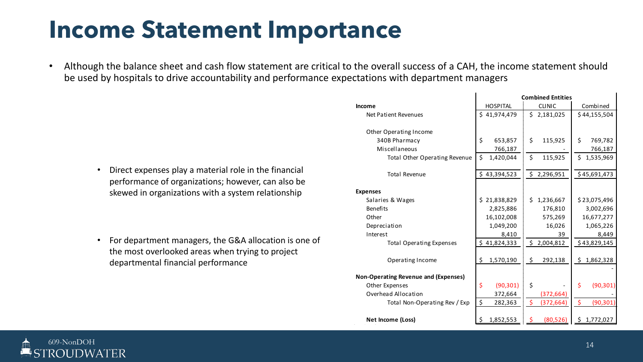### **Income Statement Importance**

• Although the balance sheet and cash flow statement are critical to the overall success of a CAH, the income statement should be used by hospitals to drive accountability and performance expectations with department managers

• Direct expenses play a material role in the financial performance of organizations; however, can also be skewed in organizations with a system relationship

• For department managers, the G&A allocation is one of the most overlooked areas when trying to project departmental financial performance

|                                             | <b>Combined Entities</b> |                                   |                                 |  |  |  |  |  |  |  |
|---------------------------------------------|--------------------------|-----------------------------------|---------------------------------|--|--|--|--|--|--|--|
| <b>Income</b>                               | <b>HOSPITAL</b>          | <b>CLINIC</b>                     | Combined                        |  |  |  |  |  |  |  |
| Net Patient Revenues                        | \$41,974,479             | \$2,181,025                       | \$44,155,504                    |  |  |  |  |  |  |  |
|                                             |                          |                                   |                                 |  |  |  |  |  |  |  |
| Other Operating Income                      |                          |                                   |                                 |  |  |  |  |  |  |  |
| 340B Pharmacy                               | \$<br>653,857            | \$<br>115,925                     | \$<br>769,782                   |  |  |  |  |  |  |  |
| Miscellaneous                               | 766,187                  |                                   | 766,187                         |  |  |  |  |  |  |  |
| <b>Total Other Operating Revenue</b>        | \$<br>1,420,044          | \$<br>115,925                     | Ś.<br>1,535,969                 |  |  |  |  |  |  |  |
| <b>Total Revenue</b>                        | Ś.<br>43,394,523         | \$.<br>2,296,951                  | \$45,691,473                    |  |  |  |  |  |  |  |
|                                             |                          |                                   |                                 |  |  |  |  |  |  |  |
| <b>Expenses</b>                             |                          |                                   |                                 |  |  |  |  |  |  |  |
| Salaries & Wages                            | \$21,838,829             | \$.<br>1,236,667                  | \$23,075,496                    |  |  |  |  |  |  |  |
| <b>Benefits</b>                             | 2,825,886                | 176,810                           | 3,002,696                       |  |  |  |  |  |  |  |
| Other                                       | 16,102,008               | 575,269                           | 16,677,277                      |  |  |  |  |  |  |  |
| Depreciation                                | 1,049,200                | 16,026                            | 1,065,226                       |  |  |  |  |  |  |  |
| Interest                                    | 8,410                    | 39                                | 8,449                           |  |  |  |  |  |  |  |
| <b>Total Operating Expenses</b>             | \$41,824,333             | \$<br>2,004,812                   | \$43,829,145                    |  |  |  |  |  |  |  |
| Operating Income                            | \$<br>1,570,190          | \$<br>292,138                     | \$.<br>1,862,328                |  |  |  |  |  |  |  |
| <b>Non-Operating Revenue and (Expenses)</b> |                          |                                   |                                 |  |  |  |  |  |  |  |
| Other Expenses                              | \$<br>(90, 301)          | \$                                | \$<br>(90, 301)                 |  |  |  |  |  |  |  |
| Overhead Allocation                         | 372,664                  | (372, 664)                        |                                 |  |  |  |  |  |  |  |
| Total Non-Operating Rev / Exp               | \$<br>282,363            | $\ddot{\bm{\zeta}}$<br>(372, 664) | $\ddot{\varsigma}$<br>(90, 301) |  |  |  |  |  |  |  |
| Net Income (Loss)                           | \$<br>1,852,553          | $\boldsymbol{\zeta}$<br>(80, 526) | \$1,772,027                     |  |  |  |  |  |  |  |

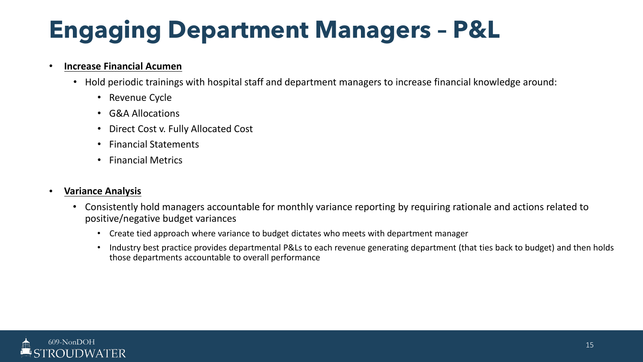# **Engaging Department Managers – P&L**

#### • **Increase Financial Acumen**

- Hold periodic trainings with hospital staff and department managers to increase financial knowledge around:
	- Revenue Cycle
	- G&A Allocations
	- Direct Cost v. Fully Allocated Cost
	- Financial Statements
	- Financial Metrics

### • **Variance Analysis**

- Consistently hold managers accountable for monthly variance reporting by requiring rationale and actions related to positive/negative budget variances
	- Create tied approach where variance to budget dictates who meets with department manager
	- Industry best practice provides departmental P&Ls to each revenue generating department (that ties back to budget) and then holds those departments accountable to overall performance

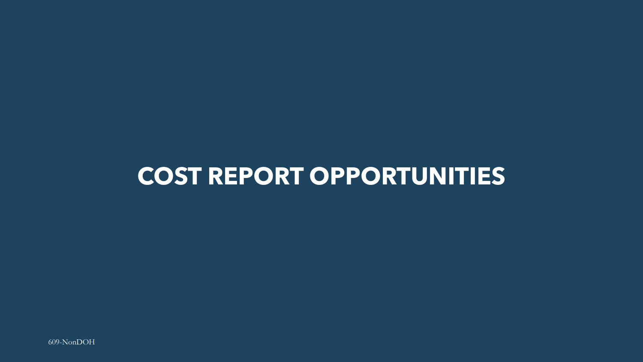### **COST REPORT OPPORTUNITIES**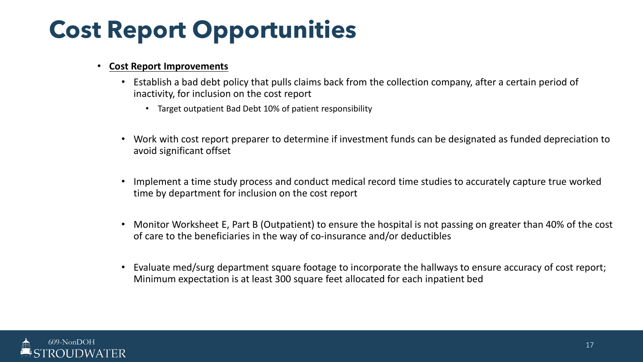#### • **Cost Report Improvements**

- Establish a bad debt policy that pulls claims back from the collection company, after a certain period of inactivity, for inclusion on the cost report
	- Target outpatient Bad Debt 10% of patient responsibility
- Work with cost report preparer to determine if investment funds can be designated as funded depreciation to avoid significant offset
- Implement a time study process and conduct medical record time studies to accurately capture true worked time by department for inclusion on the cost report
- Monitor Worksheet E, Part B (Outpatient) to ensure the hospital is not passing on greater than 40% of the cost of care to the beneficiaries in the way of co-insurance and/or deductibles
- Evaluate med/surg department square footage to incorporate the hallways to ensure accuracy of cost report; Minimum expectation is at least 300 square feet allocated for each inpatient bed

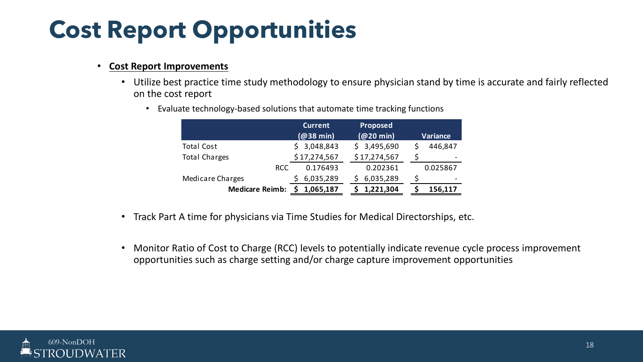#### • **Cost Report Improvements**

• Utilize best practice time study methodology to ensure physician stand by time is accurate and fairly reflected on the cost report

|                        | <b>Current</b><br>$(@38$ min) | Proposed<br>(Q <sub>20</sub> min) | <b>Variance</b> |  |  |  |  |
|------------------------|-------------------------------|-----------------------------------|-----------------|--|--|--|--|
| <b>Total Cost</b>      | 3,048,843                     | \$3,495,690                       | 446,847         |  |  |  |  |
| <b>Total Charges</b>   | \$17,274,567                  | \$17,274,567                      |                 |  |  |  |  |
| <b>RCC</b>             | 0.176493                      | 0.202361                          | 0.025867        |  |  |  |  |
| Medicare Charges       | 6,035,289                     | 6,035,289                         |                 |  |  |  |  |
| <b>Medicare Reimb:</b> | 1,065,187                     | 1,221,304                         | 156,117         |  |  |  |  |

• Evaluate technology-based solutions that automate time tracking functions

- Track Part A time for physicians via Time Studies for Medical Directorships, etc.
- Monitor Ratio of Cost to Charge (RCC) levels to potentially indicate revenue cycle process improvement opportunities such as charge setting and/or charge capture improvement opportunities

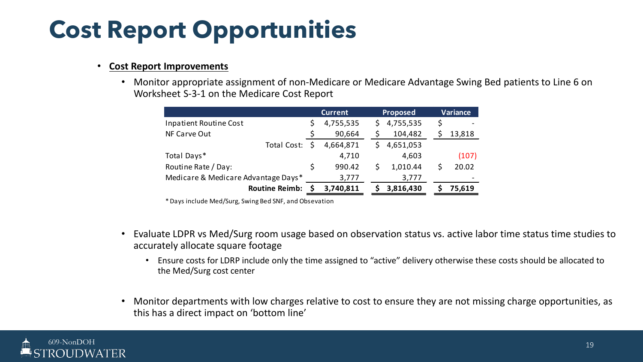#### • **Cost Report Improvements**

• Monitor appropriate assignment of non-Medicare or Medicare Advantage Swing Bed patients to Line 6 on Worksheet S-3-1 on the Medicare Cost Report

|                                     |    | <b>Current</b> |   | <b>Proposed</b> | Variance |  |
|-------------------------------------|----|----------------|---|-----------------|----------|--|
| Inpatient Routine Cost              | Ş  | 4,755,535      | S | 4,755,535       | \$       |  |
| NF Carve Out                        |    | 90,664         |   | 104,482         | 13,818   |  |
| Total Cost:                         |    | 4,664,871      |   | 4,651,053       |          |  |
| Total Days*                         |    | 4,710          |   | 4,603           | (107)    |  |
| Routine Rate / Day:                 | \$ | 990.42         |   | 1,010.44        | 20.02    |  |
| Medicare & Medicare Advantage Days* |    | 3,777          |   | 3,777           |          |  |
| <b>Routine Reimb:</b>               |    | 3,740,811      |   | 3,816,430       | 75,619   |  |

\* Days include Med/Surg, Swing Bed SNF, and Obsevation

- Evaluate LDPR vs Med/Surg room usage based on observation status vs. active labor time status time studies to accurately allocate square footage
	- Ensure costs for LDRP include only the time assigned to "active" delivery otherwise these costs should be allocated to the Med/Surg cost center
- Monitor departments with low charges relative to cost to ensure they are not missing charge opportunities, as this has a direct impact on 'bottom line'

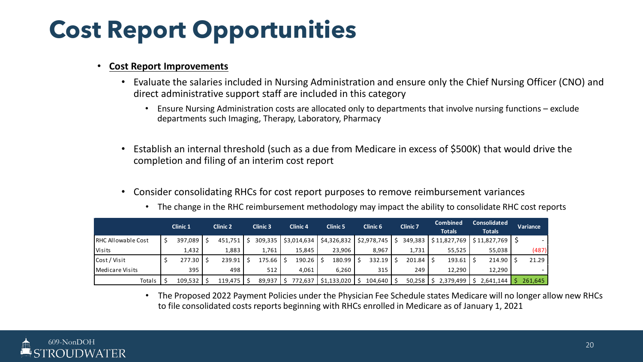#### • **Cost Report Improvements**

- Evaluate the salaries included in Nursing Administration and ensure only the Chief Nursing Officer (CNO) and direct administrative support staff are included in this category
	- Ensure Nursing Administration costs are allocated only to departments that involve nursing functions exclude departments such Imaging, Therapy, Laboratory, Pharmacy
- Establish an internal threshold (such as a due from Medicare in excess of \$500K) that would drive the completion and filing of an interim cost report
- Consider consolidating RHCs for cost report purposes to remove reimbursement variances

|                           | <b>Clinic 1</b> | <b>Clinic 2</b> |         | <b>Clinic 3</b> |         | <b>Clinic 4</b> |             | <b>Clinic 5</b> |             | <b>Clinic 6</b> |             | <b>Clinic 7</b> |               | <b>Combined</b><br><b>Totals</b> |              | <b>Consolidated</b><br><b>Totals</b> |                | Variance |
|---------------------------|-----------------|-----------------|---------|-----------------|---------|-----------------|-------------|-----------------|-------------|-----------------|-------------|-----------------|---------------|----------------------------------|--------------|--------------------------------------|----------------|----------|
| <b>RHC Allowable Cost</b> | 397,089         | - S             | 451.751 |                 | 309,335 |                 | \$3,014,634 |                 | \$4,326,832 |                 | \$2,978,745 |                 | 349,383       |                                  | \$11,827,769 |                                      | \$11.827.769 S |          |
| Visits                    | 1,432           |                 | 1,883   |                 | 1,761   |                 | 15.845      |                 | 23,906      |                 | 8,967       |                 | 1,731         |                                  | 55,525       |                                      | 55,038         | (487)    |
| Cost / Visit              | 277.30          |                 | 239.91  |                 | 175.66  | -S              | 190.26      |                 | 180.99      |                 | 332.19      |                 | 201.84        |                                  | 193.61       |                                      | $214.90$   \$  | 21.29    |
| <b>Medicare Visits</b>    | 395             |                 | 498     |                 | 512     |                 | 4,061       |                 | 6,260       |                 | 315         |                 | 249           |                                  | 12.290       |                                      | 12,290         |          |
| Totals                    | 109,532         |                 | 119,475 | -S              | 89,937  | -S              | 772,637     |                 | \$1,133,020 |                 | 104,640     |                 | $50,258$   \$ |                                  | 2,379,499    |                                      | 2,641,144      | 261,645  |

• The change in the RHC reimbursement methodology may impact the ability to consolidate RHC cost reports

• The Proposed 2022 Payment Policies under the Physician Fee Schedule states Medicare will no longer allow new RHCs to file consolidated costs reports beginning with RHCs enrolled in Medicare as of January 1, 2021

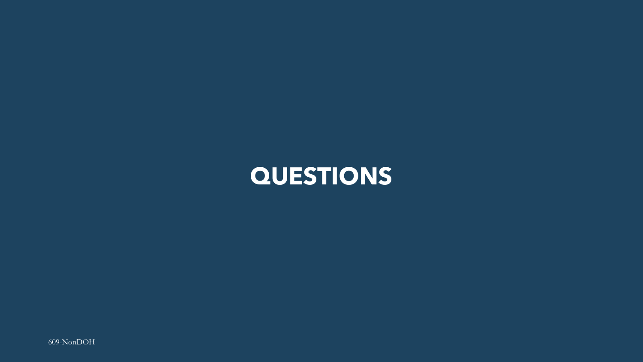### QUESTIONS

609-NonDOH